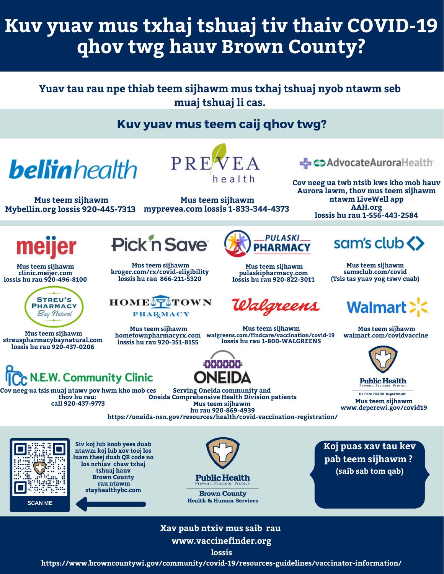# **Kuv yuav mus txhaj tshuaj tiv thaiv COVID-19 qhov twg hauv Brown County?**

## **Yuav tau rau npe thiab teem sijhawm mus txhaj tshuaj nyob ntawm seb muaj tshuaj li cas.**

## **Kuv yuav mus teem caij qhov twg?**

**bellin** health

PRE

**myprevea.com lossis 1-833-344-4373 Mybellin.org lossis 920-445-7313 Mus teem sijhawm**

**Mus teem sijhawm**

- coAdvocateAuroraHealth

**Cov neeg ua twb ntsib kws kho mob hauv Aurora lawm, thov mus teem sijhawm ntawm LiveWell app AAH.org lossis hu rau 1-556-443-2584**

meijer

**Mus teem sijhawm clinic.meijer.com lossis hu rau 920-496-8100**



**Mus teem sijhawm streuspharmacybaynatural.com lossis hu rau 920-437-0206**

N.E.W. Community Clinic

**Cov neeg ua tsis muaj ntawv pov hwm kho mob ces thov hu rau: call 920-437-9773**



**Mus teem sijhawm kroger.com/rx/covid-eligibility lossis hu rau 866-211-5320**



**Mus teem sijhawm hometownpharmacyrx.com walgreens.com/findcare/vaccination/covid-19 lossis hu rau 920-351-8155**



**Mus teem sijhawm pulaskipharmacy.com lossis hu rau 920-822-3011**

Walgreens

**Mus teem sijhawm lossis hu rau 1-800-WALGREENS**



**Mus teem sijhawm [samsclub.com/covid](https://www.samsclub.com/pharmacy) (Tsis tas yuav yog tswv cuab)**

# Walmart >'<

**Mus teem sijhawm [walmart.com/covidvaccine](https://www.samsclub.com/pharmacy)**



**Public Health** 

De Pere Health Department **Mus teem sijhawm [www.deperewi.gov/covid19](https://www.samsclub.com/pharmacy)**



**Siv koj lub koob yees duab ntawm koj lub xov tooj los luam theej duab QR code no los nrhiav chaw txhaj tshuaj hauv Brown County rau ntawm stayhealthybc.com**



**Serving Oneida community and Oneida Comprehensive Health Division patients Mus teem sijhawm hu rau 920-869-4939**

**[https://oneida-nsn.gov/resources/health/covid-vaccination-registration/](https://gcc02.safelinks.protection.outlook.com/?url=https%3A%2F%2Foneida-nsn.gov%2Fresources%2Fhealth%2Fcovid-vaccination-registration%2F&data=04%7C01%7CKatie.Ledvina%40browncountywi.gov%7C9df4f6e868464f5128fe08d8f9281c0f%7Cd4d3bbdf23b140e786d2ef5cd2bdb817%7C1%7C0%7C637533298350585840%7CUnknown%7CTWFpbGZsb3d8eyJWIjoiMC4wLjAwMDAiLCJQIjoiV2luMzIiLCJBTiI6Ik1haWwiLCJXVCI6Mn0%3D%7C1000&sdata=JMG3wfEPkKD%2BypaM01kMJM2rJqyO6OmST7JB9PBqaeU%3D&reserved=0)**



**Brown County Health & Human Services**  **Koj puas xav tau kev pab teem sijhawm ? (saib sab tom qab)**

**Xav paub ntxiv mus saib rau www.vaccinefinder.org**

**lossis**

**https://www.browncountywi.gov/community/covid-19/resources-guidelines/vaccinator-information/**